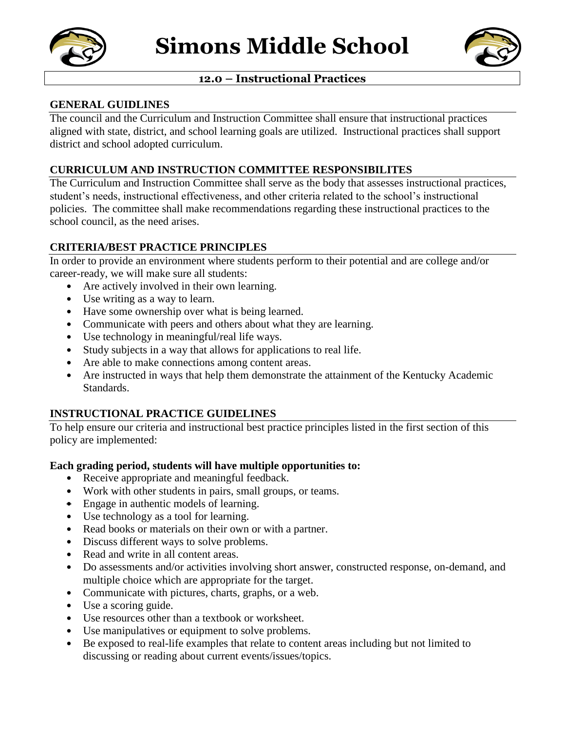



## **12.0 – Instructional Practices**

### **GENERAL GUIDLINES**

The council and the Curriculum and Instruction Committee shall ensure that instructional practices aligned with state, district, and school learning goals are utilized. Instructional practices shall support district and school adopted curriculum.

### **CURRICULUM AND INSTRUCTION COMMITTEE RESPONSIBILITES**

The Curriculum and Instruction Committee shall serve as the body that assesses instructional practices, student's needs, instructional effectiveness, and other criteria related to the school's instructional policies. The committee shall make recommendations regarding these instructional practices to the school council, as the need arises.

## **CRITERIA/BEST PRACTICE PRINCIPLES**

In order to provide an environment where students perform to their potential and are college and/or career-ready, we will make sure all students:

- Are actively involved in their own learning.
- Use writing as a way to learn.
- Have some ownership over what is being learned.
- Communicate with peers and others about what they are learning.
- Use technology in meaningful/real life ways.
- Study subjects in a way that allows for applications to real life.
- Are able to make connections among content areas.
- Are instructed in ways that help them demonstrate the attainment of the Kentucky Academic Standards.

### **INSTRUCTIONAL PRACTICE GUIDELINES**

To help ensure our criteria and instructional best practice principles listed in the first section of this policy are implemented:

### **Each grading period, students will have multiple opportunities to:**

- Receive appropriate and meaningful feedback.
- Work with other students in pairs, small groups, or teams.
- Engage in authentic models of learning.
- Use technology as a tool for learning.
- Read books or materials on their own or with a partner.
- Discuss different ways to solve problems.
- Read and write in all content areas.
- Do assessments and/or activities involving short answer, constructed response, on-demand, and multiple choice which are appropriate for the target.
- Communicate with pictures, charts, graphs, or a web.
- Use a scoring guide.
- Use resources other than a textbook or worksheet.
- Use manipulatives or equipment to solve problems.
- Be exposed to real-life examples that relate to content areas including but not limited to discussing or reading about current events/issues/topics.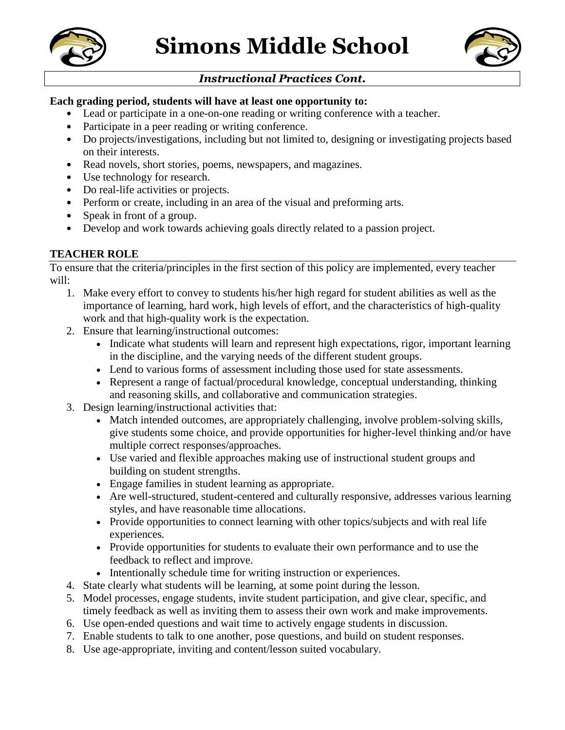



# *Instructional Practices Cont.*

### **Each grading period, students will have at least one opportunity to:**

- Lead or participate in a one-on-one reading or writing conference with a teacher.
- Participate in a peer reading or writing conference.
- Do projects/investigations, including but not limited to, designing or investigating projects based on their interests.
- Read novels, short stories, poems, newspapers, and magazines.
- Use technology for research.
- Do real-life activities or projects.
- Perform or create, including in an area of the visual and preforming arts.
- Speak in front of a group.
- Develop and work towards achieving goals directly related to a passion project.

# **TEACHER ROLE**

To ensure that the criteria/principles in the first section of this policy are implemented, every teacher will:

- 1. Make every effort to convey to students his/her high regard for student abilities as well as the importance of learning, hard work, high levels of effort, and the characteristics of high-quality work and that high-quality work is the expectation.
- 2. Ensure that learning/instructional outcomes:
	- Indicate what students will learn and represent high expectations, rigor, important learning in the discipline, and the varying needs of the different student groups.
	- Lend to various forms of assessment including those used for state assessments.
	- Represent a range of factual/procedural knowledge, conceptual understanding, thinking and reasoning skills, and collaborative and communication strategies.
- 3. Design learning/instructional activities that:
	- Match intended outcomes, are appropriately challenging, involve problem-solving skills, give students some choice, and provide opportunities for higher-level thinking and/or have multiple correct responses/approaches.
	- Use varied and flexible approaches making use of instructional student groups and building on student strengths.
	- Engage families in student learning as appropriate.
	- Are well-structured, student-centered and culturally responsive, addresses various learning styles, and have reasonable time allocations.
	- Provide opportunities to connect learning with other topics/subjects and with real life experiences*.*
	- Provide opportunities for students to evaluate their own performance and to use the feedback to reflect and improve.
	- Intentionally schedule time for writing instruction or experiences.
- 4. State clearly what students will be learning, at some point during the lesson.
- 5. Model processes, engage students, invite student participation, and give clear, specific, and timely feedback as well as inviting them to assess their own work and make improvements.
- 6. Use open-ended questions and wait time to actively engage students in discussion.
- 7. Enable students to talk to one another, pose questions, and build on student responses.
- 8. Use age-appropriate, inviting and content/lesson suited vocabulary.